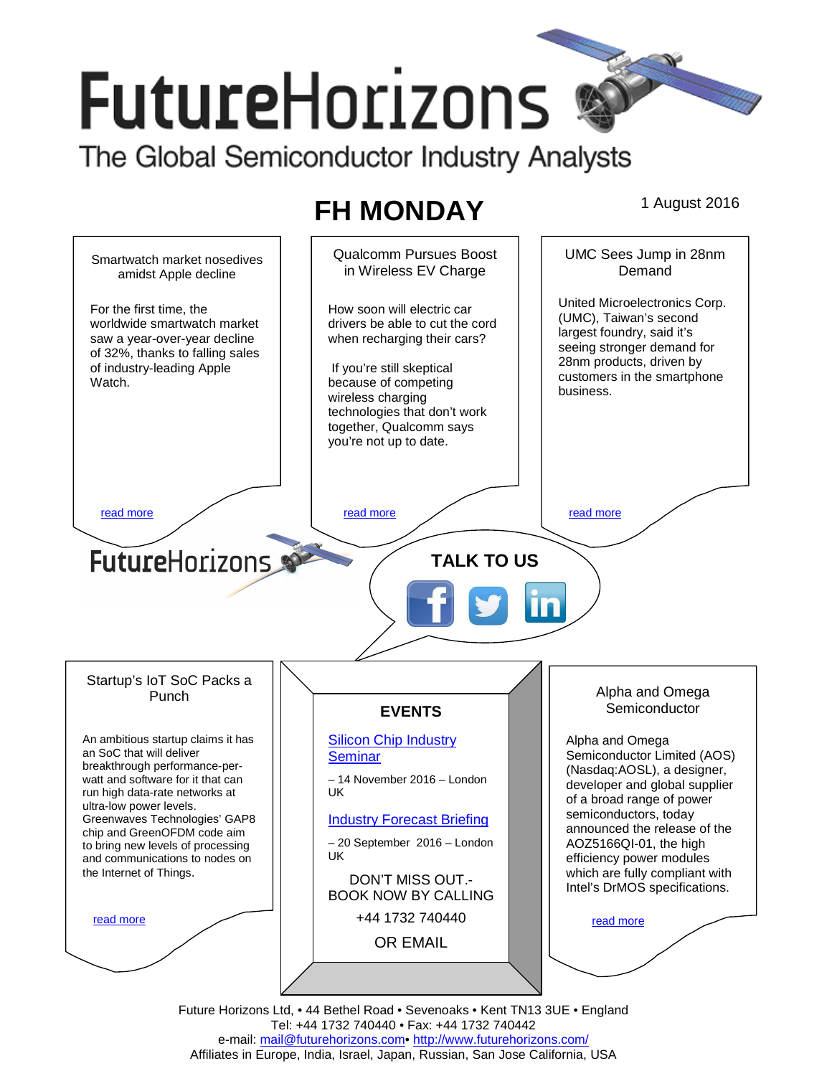# **FutureHorizons**

The Global Semiconductor Industry Analysts

# **FH MONDAY** 1 August 2016



Tel: +44 1732 740440 • Fax: +44 1732 740442 e-mail: mail@futurehorizons.com• http://www.futurehorizons.com/ Affiliates in Europe, India, Israel, Japan, Russian, San Jose California, USA